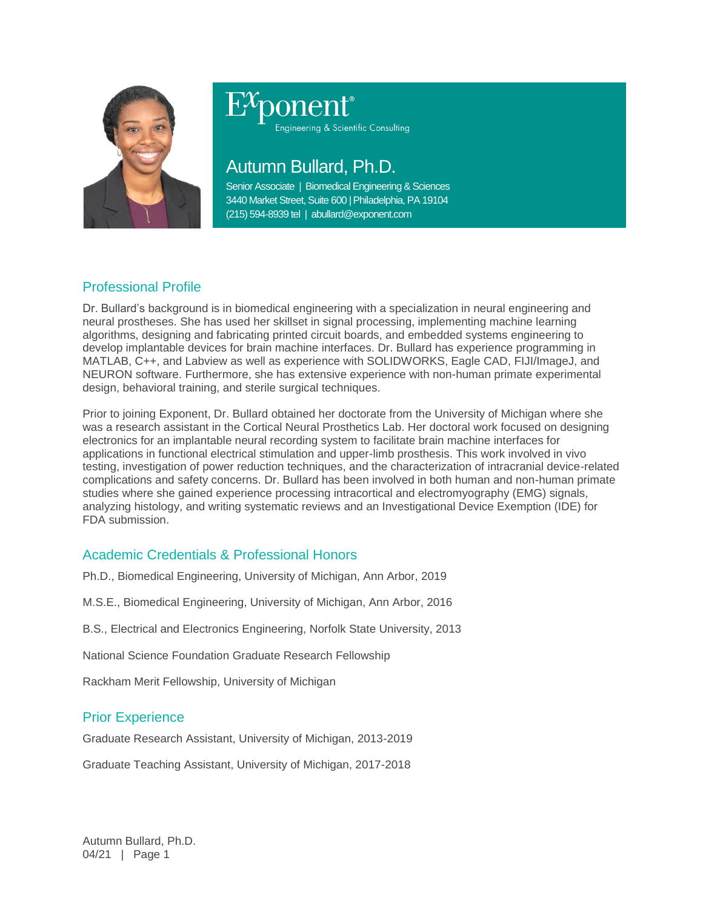

## ponent® Engineering & Scientific Consulting

# Autumn Bullard, Ph.D.

Senior Associate | Biomedical Engineering & Sciences 3440 Market Street, Suite 600 | Philadelphia, PA 19104 (215) 594-8939 tel | abullard@exponent.com

### Professional Profile

Dr. Bullard's background is in biomedical engineering with a specialization in neural engineering and neural prostheses. She has used her skillset in signal processing, implementing machine learning algorithms, designing and fabricating printed circuit boards, and embedded systems engineering to develop implantable devices for brain machine interfaces. Dr. Bullard has experience programming in MATLAB, C++, and Labview as well as experience with SOLIDWORKS, Eagle CAD, FIJI/ImageJ, and NEURON software. Furthermore, she has extensive experience with non-human primate experimental design, behavioral training, and sterile surgical techniques.

Prior to joining Exponent, Dr. Bullard obtained her doctorate from the University of Michigan where she was a research assistant in the Cortical Neural Prosthetics Lab. Her doctoral work focused on designing electronics for an implantable neural recording system to facilitate brain machine interfaces for applications in functional electrical stimulation and upper-limb prosthesis. This work involved in vivo testing, investigation of power reduction techniques, and the characterization of intracranial device-related complications and safety concerns. Dr. Bullard has been involved in both human and non-human primate studies where she gained experience processing intracortical and electromyography (EMG) signals, analyzing histology, and writing systematic reviews and an Investigational Device Exemption (IDE) for FDA submission.

#### Academic Credentials & Professional Honors

Ph.D., Biomedical Engineering, University of Michigan, Ann Arbor, 2019

M.S.E., Biomedical Engineering, University of Michigan, Ann Arbor, 2016

B.S., Electrical and Electronics Engineering, Norfolk State University, 2013

National Science Foundation Graduate Research Fellowship

Rackham Merit Fellowship, University of Michigan

#### Prior Experience

Graduate Research Assistant, University of Michigan, 2013-2019

Graduate Teaching Assistant, University of Michigan, 2017-2018

Autumn Bullard, Ph.D. 04/21 | Page 1